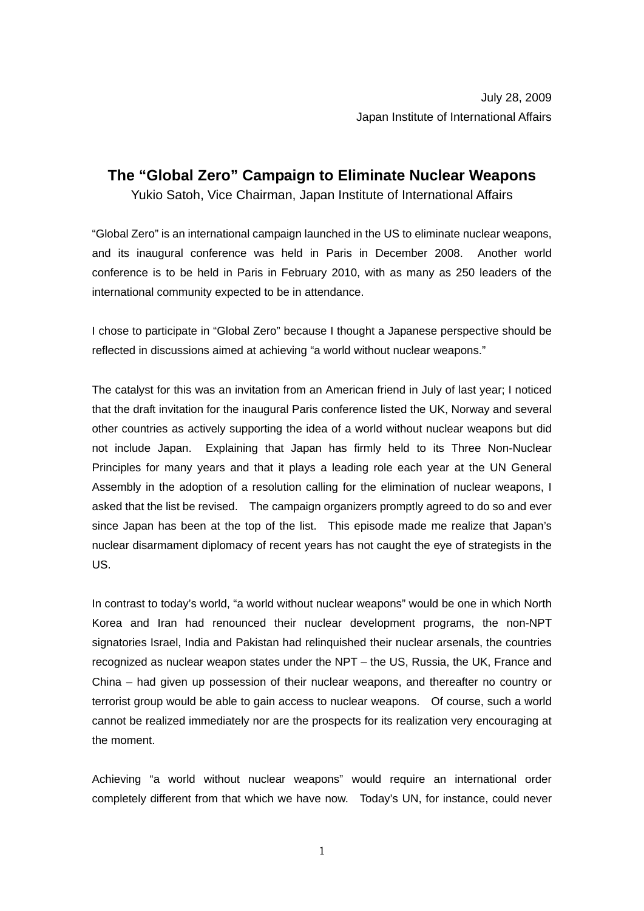## **The "Global Zero" Campaign to Eliminate Nuclear Weapons**

Yukio Satoh, Vice Chairman, Japan Institute of International Affairs

"Global Zero" is an international campaign launched in the US to eliminate nuclear weapons, and its inaugural conference was held in Paris in December 2008. Another world conference is to be held in Paris in February 2010, with as many as 250 leaders of the international community expected to be in attendance.

I chose to participate in "Global Zero" because I thought a Japanese perspective should be reflected in discussions aimed at achieving "a world without nuclear weapons."

The catalyst for this was an invitation from an American friend in July of last year; I noticed that the draft invitation for the inaugural Paris conference listed the UK, Norway and several other countries as actively supporting the idea of a world without nuclear weapons but did not include Japan. Explaining that Japan has firmly held to its Three Non-Nuclear Principles for many years and that it plays a leading role each year at the UN General Assembly in the adoption of a resolution calling for the elimination of nuclear weapons, I asked that the list be revised. The campaign organizers promptly agreed to do so and ever since Japan has been at the top of the list. This episode made me realize that Japan's nuclear disarmament diplomacy of recent years has not caught the eye of strategists in the US.

In contrast to today's world, "a world without nuclear weapons" would be one in which North Korea and Iran had renounced their nuclear development programs, the non-NPT signatories Israel, India and Pakistan had relinquished their nuclear arsenals, the countries recognized as nuclear weapon states under the NPT – the US, Russia, the UK, France and China – had given up possession of their nuclear weapons, and thereafter no country or terrorist group would be able to gain access to nuclear weapons. Of course, such a world cannot be realized immediately nor are the prospects for its realization very encouraging at the moment.

Achieving "a world without nuclear weapons" would require an international order completely different from that which we have now. Today's UN, for instance, could never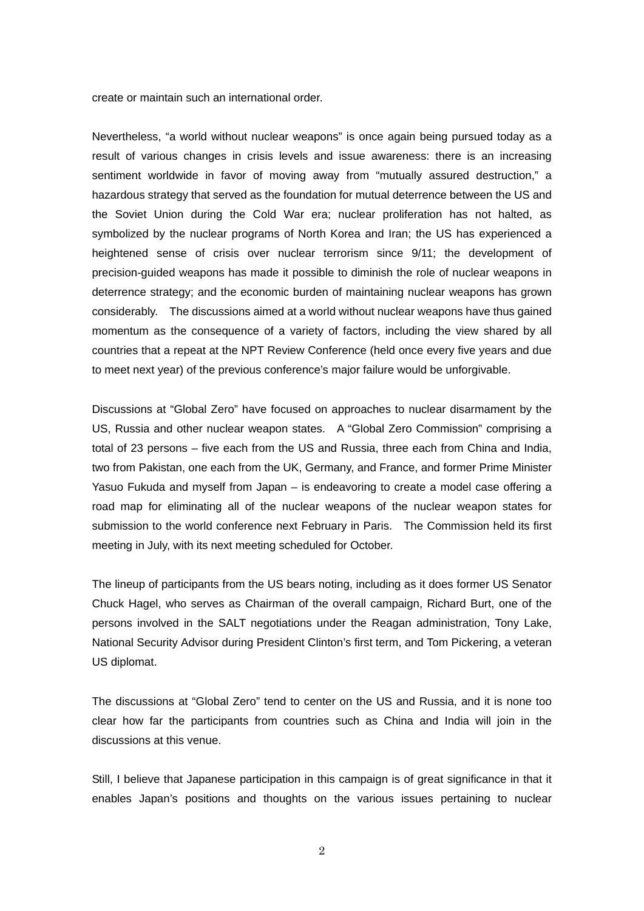create or maintain such an international order.

Nevertheless, "a world without nuclear weapons" is once again being pursued today as a result of various changes in crisis levels and issue awareness: there is an increasing sentiment worldwide in favor of moving away from "mutually assured destruction," a hazardous strategy that served as the foundation for mutual deterrence between the US and the Soviet Union during the Cold War era; nuclear proliferation has not halted, as symbolized by the nuclear programs of North Korea and Iran; the US has experienced a heightened sense of crisis over nuclear terrorism since 9/11; the development of precision-guided weapons has made it possible to diminish the role of nuclear weapons in deterrence strategy; and the economic burden of maintaining nuclear weapons has grown considerably. The discussions aimed at a world without nuclear weapons have thus gained momentum as the consequence of a variety of factors, including the view shared by all countries that a repeat at the NPT Review Conference (held once every five years and due to meet next year) of the previous conference's major failure would be unforgivable.

Discussions at "Global Zero" have focused on approaches to nuclear disarmament by the US, Russia and other nuclear weapon states. A "Global Zero Commission" comprising a total of 23 persons – five each from the US and Russia, three each from China and India, two from Pakistan, one each from the UK, Germany, and France, and former Prime Minister Yasuo Fukuda and myself from Japan – is endeavoring to create a model case offering a road map for eliminating all of the nuclear weapons of the nuclear weapon states for submission to the world conference next February in Paris. The Commission held its first meeting in July, with its next meeting scheduled for October.

The lineup of participants from the US bears noting, including as it does former US Senator Chuck Hagel, who serves as Chairman of the overall campaign, Richard Burt, one of the persons involved in the SALT negotiations under the Reagan administration, Tony Lake, National Security Advisor during President Clinton's first term, and Tom Pickering, a veteran US diplomat.

The discussions at "Global Zero" tend to center on the US and Russia, and it is none too clear how far the participants from countries such as China and India will join in the discussions at this venue.

Still, I believe that Japanese participation in this campaign is of great significance in that it enables Japan's positions and thoughts on the various issues pertaining to nuclear